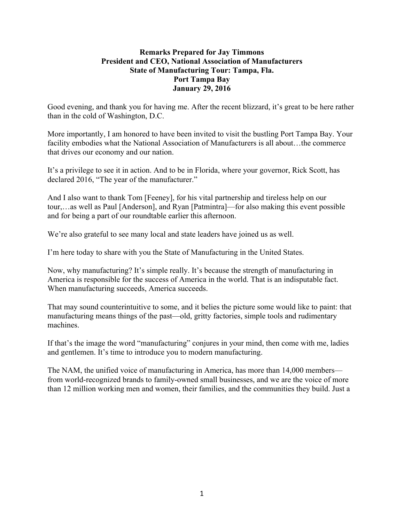## **Remarks Prepared for Jay Timmons President and CEO, National Association of Manufacturers State of Manufacturing Tour: Tampa, Fla. Port Tampa Bay January 29, 2016**

Good evening, and thank you for having me. After the recent blizzard, it's great to be here rather than in the cold of Washington, D.C.

More importantly, I am honored to have been invited to visit the bustling Port Tampa Bay. Your facility embodies what the National Association of Manufacturers is all about...the commerce that drives our economy and our nation.

It's a privilege to see it in action. And to be in Florida, where your governor, Rick Scott, has declared 2016, "The year of the manufacturer."

And I also want to thank Tom [Feeney], for his vital partnership and tireless help on our tour,…as well as Paul [Anderson], and Ryan [Patmintra]—for also making this event possible and for being a part of our roundtable earlier this afternoon.

We're also grateful to see many local and state leaders have joined us as well.

I'm here today to share with you the State of Manufacturing in the United States.

Now, why manufacturing? It's simple really. It's because the strength of manufacturing in America is responsible for the success of America in the world. That is an indisputable fact. When manufacturing succeeds, America succeeds.

That may sound counterintuitive to some, and it belies the picture some would like to paint: that manufacturing means things of the past—old, gritty factories, simple tools and rudimentary machines.

If that's the image the word "manufacturing" conjures in your mind, then come with me, ladies and gentlemen. It's time to introduce you to modern manufacturing.

The NAM, the unified voice of manufacturing in America, has more than 14,000 members from world-recognized brands to family-owned small businesses, and we are the voice of more than 12 million working men and women, their families, and the communities they build. Just a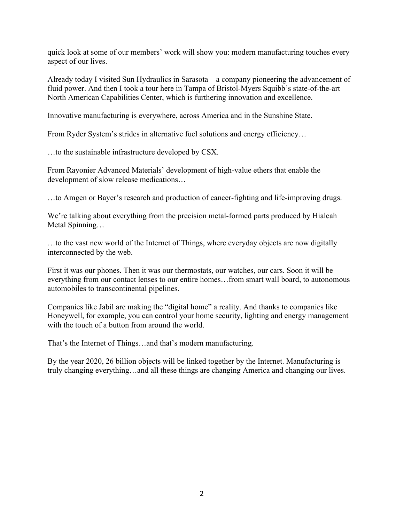quick look at some of our members' work will show you: modern manufacturing touches every aspect of our lives.

Already today I visited Sun Hydraulics in Sarasota—a company pioneering the advancement of fluid power. And then I took a tour here in Tampa of Bristol-Myers Squibb's state-of-the-art North American Capabilities Center, which is furthering innovation and excellence.

Innovative manufacturing is everywhere, across America and in the Sunshine State.

From Ryder System's strides in alternative fuel solutions and energy efficiency…

…to the sustainable infrastructure developed by CSX.

From Rayonier Advanced Materials' development of high-value ethers that enable the development of slow release medications…

…to Amgen or Bayer's research and production of cancer-fighting and life-improving drugs.

We're talking about everything from the precision metal-formed parts produced by Hialeah Metal Spinning…

…to the vast new world of the Internet of Things, where everyday objects are now digitally interconnected by the web.

First it was our phones. Then it was our thermostats, our watches, our cars. Soon it will be everything from our contact lenses to our entire homes…from smart wall board, to autonomous automobiles to transcontinental pipelines.

Companies like Jabil are making the "digital home" a reality. And thanks to companies like Honeywell, for example, you can control your home security, lighting and energy management with the touch of a button from around the world.

That's the Internet of Things…and that's modern manufacturing.

By the year 2020, 26 billion objects will be linked together by the Internet. Manufacturing is truly changing everything…and all these things are changing America and changing our lives.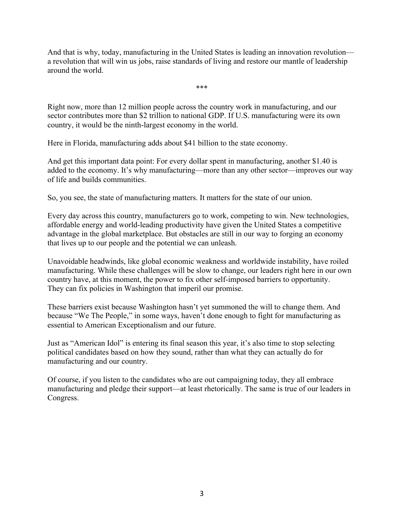And that is why, today, manufacturing in the United States is leading an innovation revolution a revolution that will win us jobs, raise standards of living and restore our mantle of leadership around the world.

\*\*\*

Right now, more than 12 million people across the country work in manufacturing, and our sector contributes more than \$2 trillion to national GDP. If U.S. manufacturing were its own country, it would be the ninth-largest economy in the world.

Here in Florida, manufacturing adds about \$41 billion to the state economy.

And get this important data point: For every dollar spent in manufacturing, another \$1.40 is added to the economy. It's why manufacturing—more than any other sector—improves our way of life and builds communities.

So, you see, the state of manufacturing matters. It matters for the state of our union.

Every day across this country, manufacturers go to work, competing to win. New technologies, affordable energy and world-leading productivity have given the United States a competitive advantage in the global marketplace. But obstacles are still in our way to forging an economy that lives up to our people and the potential we can unleash.

Unavoidable headwinds, like global economic weakness and worldwide instability, have roiled manufacturing. While these challenges will be slow to change, our leaders right here in our own country have, at this moment, the power to fix other self-imposed barriers to opportunity. They can fix policies in Washington that imperil our promise.

These barriers exist because Washington hasn't yet summoned the will to change them. And because "We The People," in some ways, haven't done enough to fight for manufacturing as essential to American Exceptionalism and our future.

Just as "American Idol" is entering its final season this year, it's also time to stop selecting political candidates based on how they sound, rather than what they can actually do for manufacturing and our country.

Of course, if you listen to the candidates who are out campaigning today, they all embrace manufacturing and pledge their support—at least rhetorically. The same is true of our leaders in Congress.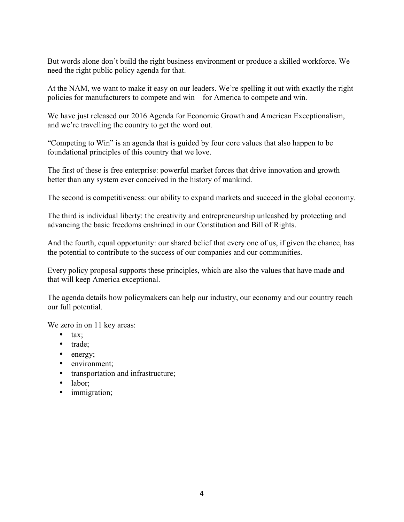But words alone don't build the right business environment or produce a skilled workforce. We need the right public policy agenda for that.

At the NAM, we want to make it easy on our leaders. We're spelling it out with exactly the right policies for manufacturers to compete and win—for America to compete and win.

We have just released our 2016 Agenda for Economic Growth and American Exceptionalism, and we're travelling the country to get the word out.

"Competing to Win" is an agenda that is guided by four core values that also happen to be foundational principles of this country that we love.

The first of these is free enterprise: powerful market forces that drive innovation and growth better than any system ever conceived in the history of mankind.

The second is competitiveness: our ability to expand markets and succeed in the global economy.

The third is individual liberty: the creativity and entrepreneurship unleashed by protecting and advancing the basic freedoms enshrined in our Constitution and Bill of Rights.

And the fourth, equal opportunity: our shared belief that every one of us, if given the chance, has the potential to contribute to the success of our companies and our communities.

Every policy proposal supports these principles, which are also the values that have made and that will keep America exceptional.

The agenda details how policymakers can help our industry, our economy and our country reach our full potential.

We zero in on 11 key areas:

- tax;
- trade;
- energy;
- environment;
- transportation and infrastructure;
- labor:
- immigration;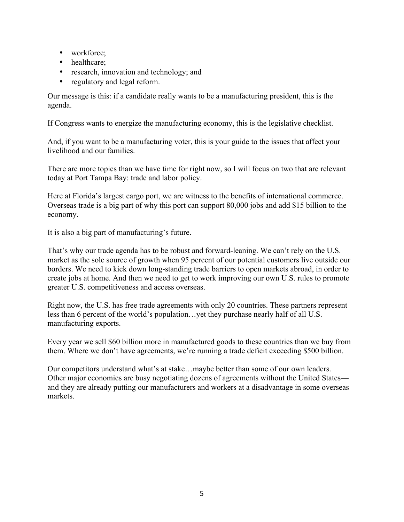- workforce;
- healthcare;
- research, innovation and technology; and
- regulatory and legal reform.

Our message is this: if a candidate really wants to be a manufacturing president, this is the agenda.

If Congress wants to energize the manufacturing economy, this is the legislative checklist.

And, if you want to be a manufacturing voter, this is your guide to the issues that affect your livelihood and our families.

There are more topics than we have time for right now, so I will focus on two that are relevant today at Port Tampa Bay: trade and labor policy.

Here at Florida's largest cargo port, we are witness to the benefits of international commerce. Overseas trade is a big part of why this port can support 80,000 jobs and add \$15 billion to the economy.

It is also a big part of manufacturing's future.

That's why our trade agenda has to be robust and forward-leaning. We can't rely on the U.S. market as the sole source of growth when 95 percent of our potential customers live outside our borders. We need to kick down long-standing trade barriers to open markets abroad, in order to create jobs at home. And then we need to get to work improving our own U.S. rules to promote greater U.S. competitiveness and access overseas.

Right now, the U.S. has free trade agreements with only 20 countries. These partners represent less than 6 percent of the world's population…yet they purchase nearly half of all U.S. manufacturing exports.

Every year we sell \$60 billion more in manufactured goods to these countries than we buy from them. Where we don't have agreements, we're running a trade deficit exceeding \$500 billion.

Our competitors understand what's at stake…maybe better than some of our own leaders. Other major economies are busy negotiating dozens of agreements without the United States and they are already putting our manufacturers and workers at a disadvantage in some overseas markets.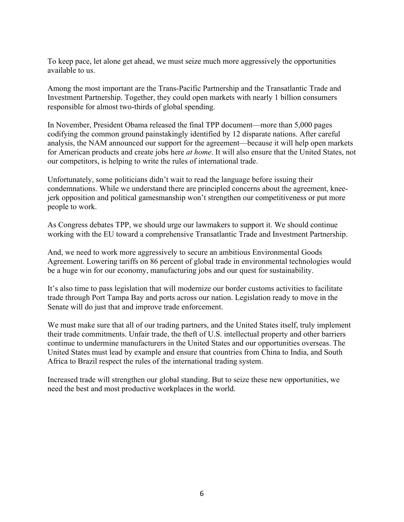To keep pace, let alone get ahead, we must seize much more aggressively the opportunities available to us.

Among the most important are the Trans-Pacific Partnership and the Transatlantic Trade and Investment Partnership. Together, they could open markets with nearly 1 billion consumers responsible for almost two-thirds of global spending.

In November, President Obama released the final TPP document—more than 5,000 pages codifying the common ground painstakingly identified by 12 disparate nations. After careful analysis, the NAM announced our support for the agreement—because it will help open markets for American products and create jobs here *at home*. It will also ensure that the United States, not our competitors, is helping to write the rules of international trade.

Unfortunately, some politicians didn't wait to read the language before issuing their condemnations. While we understand there are principled concerns about the agreement, kneejerk opposition and political gamesmanship won't strengthen our competitiveness or put more people to work.

As Congress debates TPP, we should urge our lawmakers to support it. We should continue working with the EU toward a comprehensive Transatlantic Trade and Investment Partnership.

And, we need to work more aggressively to secure an ambitious Environmental Goods Agreement. Lowering tariffs on 86 percent of global trade in environmental technologies would be a huge win for our economy, manufacturing jobs and our quest for sustainability.

It's also time to pass legislation that will modernize our border customs activities to facilitate trade through Port Tampa Bay and ports across our nation. Legislation ready to move in the Senate will do just that and improve trade enforcement.

We must make sure that all of our trading partners, and the United States itself, truly implement their trade commitments. Unfair trade, the theft of U.S. intellectual property and other barriers continue to undermine manufacturers in the United States and our opportunities overseas. The United States must lead by example and ensure that countries from China to India, and South Africa to Brazil respect the rules of the international trading system.

Increased trade will strengthen our global standing. But to seize these new opportunities, we need the best and most productive workplaces in the world.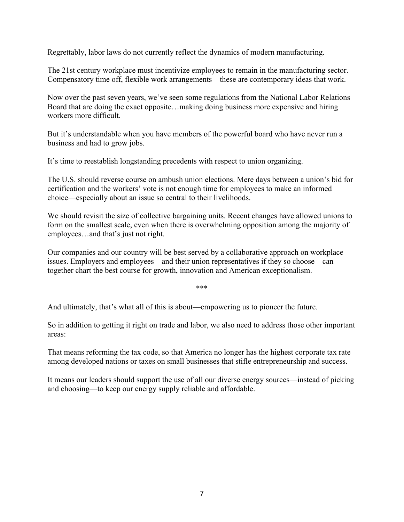Regrettably, labor laws do not currently reflect the dynamics of modern manufacturing.

The 21st century workplace must incentivize employees to remain in the manufacturing sector. Compensatory time off, flexible work arrangements—these are contemporary ideas that work.

Now over the past seven years, we've seen some regulations from the National Labor Relations Board that are doing the exact opposite…making doing business more expensive and hiring workers more difficult.

But it's understandable when you have members of the powerful board who have never run a business and had to grow jobs.

It's time to reestablish longstanding precedents with respect to union organizing.

The U.S. should reverse course on ambush union elections. Mere days between a union's bid for certification and the workers' vote is not enough time for employees to make an informed choice—especially about an issue so central to their livelihoods.

We should revisit the size of collective bargaining units. Recent changes have allowed unions to form on the smallest scale, even when there is overwhelming opposition among the majority of employees…and that's just not right.

Our companies and our country will be best served by a collaborative approach on workplace issues. Employers and employees—and their union representatives if they so choose—can together chart the best course for growth, innovation and American exceptionalism.

\*\*\*

And ultimately, that's what all of this is about—empowering us to pioneer the future.

So in addition to getting it right on trade and labor, we also need to address those other important areas:

That means reforming the tax code, so that America no longer has the highest corporate tax rate among developed nations or taxes on small businesses that stifle entrepreneurship and success.

It means our leaders should support the use of all our diverse energy sources—instead of picking and choosing—to keep our energy supply reliable and affordable.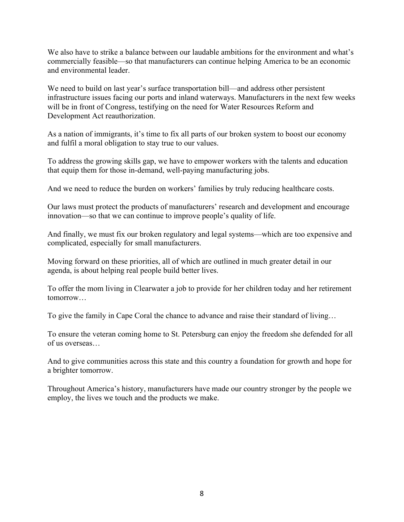We also have to strike a balance between our laudable ambitions for the environment and what's commercially feasible—so that manufacturers can continue helping America to be an economic and environmental leader.

We need to build on last year's surface transportation bill—and address other persistent infrastructure issues facing our ports and inland waterways. Manufacturers in the next few weeks will be in front of Congress, testifying on the need for Water Resources Reform and Development Act reauthorization.

As a nation of immigrants, it's time to fix all parts of our broken system to boost our economy and fulfil a moral obligation to stay true to our values.

To address the growing skills gap, we have to empower workers with the talents and education that equip them for those in-demand, well-paying manufacturing jobs.

And we need to reduce the burden on workers' families by truly reducing healthcare costs.

Our laws must protect the products of manufacturers' research and development and encourage innovation—so that we can continue to improve people's quality of life.

And finally, we must fix our broken regulatory and legal systems—which are too expensive and complicated, especially for small manufacturers.

Moving forward on these priorities, all of which are outlined in much greater detail in our agenda, is about helping real people build better lives.

To offer the mom living in Clearwater a job to provide for her children today and her retirement tomorrow…

To give the family in Cape Coral the chance to advance and raise their standard of living…

To ensure the veteran coming home to St. Petersburg can enjoy the freedom she defended for all of us overseas…

And to give communities across this state and this country a foundation for growth and hope for a brighter tomorrow.

Throughout America's history, manufacturers have made our country stronger by the people we employ, the lives we touch and the products we make.